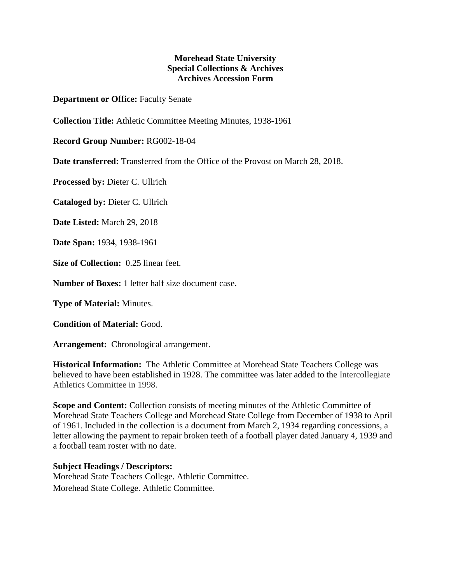## **Morehead State University Special Collections & Archives Archives Accession Form**

**Department or Office:** Faculty Senate

**Collection Title:** Athletic Committee Meeting Minutes, 1938-1961

**Record Group Number:** RG002-18-04

**Date transferred:** Transferred from the Office of the Provost on March 28, 2018.

**Processed by:** Dieter C. Ullrich

**Cataloged by:** Dieter C. Ullrich

**Date Listed:** March 29, 2018

**Date Span:** 1934, 1938-1961

**Size of Collection:** 0.25 linear feet.

**Number of Boxes:** 1 letter half size document case.

**Type of Material:** Minutes.

**Condition of Material:** Good.

**Arrangement:** Chronological arrangement.

**Historical Information:** The Athletic Committee at Morehead State Teachers College was believed to have been established in 1928. The committee was later added to the Intercollegiate Athletics Committee in 1998.

**Scope and Content:** Collection consists of meeting minutes of the Athletic Committee of Morehead State Teachers College and Morehead State College from December of 1938 to April of 1961. Included in the collection is a document from March 2, 1934 regarding concessions, a letter allowing the payment to repair broken teeth of a football player dated January 4, 1939 and a football team roster with no date.

## **Subject Headings / Descriptors:**

Morehead State Teachers College. Athletic Committee. Morehead State College. Athletic Committee.